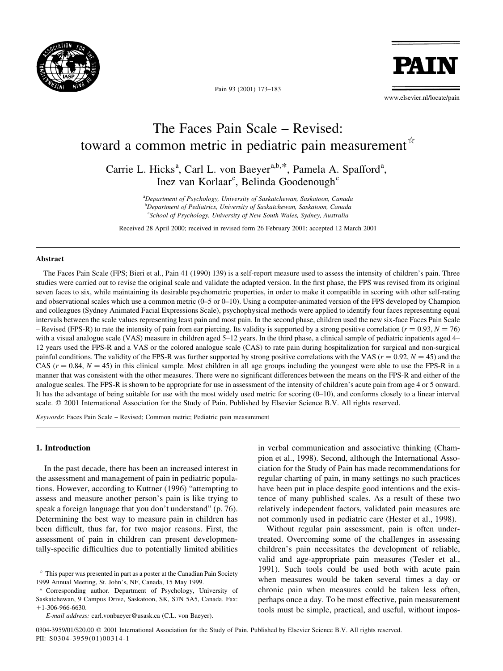

Pain 93 (2001) 173-183

**PAT** 

www.elsevier.nl/locate/pain

# The Faces Pain Scale – Revised: toward a common metric in pediatric pain measurement  $\dot{x}$

Carrie L. Hicks<sup>a</sup>, Carl L. von Baeyer<sup>a,b,\*</sup>, Pamela A. Spafford<sup>a</sup>, Inez van Korlaar<sup>c</sup>, Belinda Goodenough<sup>c</sup>

> <sup>a</sup>Department of Psychology, University of Saskatchewan, Saskatoon, Canada b Department of Pediatrics, University of Saskatchewan, Saskatoon, Canada <sup>c</sup>School of Psychology, University of New South Wales, Sydney, Australia

Received 28 April 2000; received in revised form 26 February 2001; accepted 12 March 2001

#### Abstract

The Faces Pain Scale (FPS; Bieri et al., Pain 41 (1990) 139) is a self-report measure used to assess the intensity of children's pain. Three studies were carried out to revise the original scale and validate the adapted version. In the first phase, the FPS was revised from its original seven faces to six, while maintaining its desirable psychometric properties, in order to make it compatible in scoring with other self-rating and observational scales which use a common metric  $(0-5$  or  $0-10)$ . Using a computer-animated version of the FPS developed by Champion and colleagues (Sydney Animated Facial Expressions Scale), psychophysical methods were applied to identify four faces representing equal intervals between the scale values representing least pain and most pain. In the second phase, children used the new six-face Faces Pain Scale  $-$  Revised (FPS-R) to rate the intensity of pain from ear piercing. Its validity is supported by a strong positive correlation ( $r = 0.93$ ,  $N = 76$ ) with a visual analogue scale (VAS) measure in children aged 5-12 years. In the third phase, a clinical sample of pediatric inpatients aged 4-12 years used the FPS-R and a VAS or the colored analogue scale (CAS) to rate pain during hospitalization for surgical and non-surgical painful conditions. The validity of the FPS-R was further supported by strong positive correlations with the VAS ( $r = 0.92$ ,  $N = 45$ ) and the CAS ( $r = 0.84$ ,  $N = 45$ ) in this clinical sample. Most children in all age groups including the youngest were able to use the FPS-R in a manner that was consistent with the other measures. There were no significant differences between the means on the FPS-R and either of the analogue scales. The FPS-R is shown to be appropriate for use in assessment of the intensity of children's acute pain from age 4 or 5 onward. It has the advantage of being suitable for use with the most widely used metric for scoring  $(0-10)$ , and conforms closely to a linear interval scale.  $© 2001 International Association for the Study of Pain. Published by Elsevier Science B.V. All rights reserved.$ 

Keywords: Faces Pain Scale - Revised; Common metric; Pediatric pain measurement

# 1. Introduction

In the past decade, there has been an increased interest in the assessment and management of pain in pediatric populations. However, according to Kuttner (1996) ªattempting to assess and measure another person's pain is like trying to speak a foreign language that you don't understand" (p. 76). Determining the best way to measure pain in children has been difficult, thus far, for two major reasons. First, the assessment of pain in children can present developmentally-specific difficulties due to potentially limited abilities

\* Corresponding author. Department of Psychology, University of Saskatchewan, 9 Campus Drive, Saskatoon, SK, S7N 5A5, Canada. Fax:  $+1-306-966-6630$ 

in verbal communication and associative thinking (Champion et al., 1998). Second, although the International Association for the Study of Pain has made recommendations for regular charting of pain, in many settings no such practices have been put in place despite good intentions and the existence of many published scales. As a result of these two relatively independent factors, validated pain measures are not commonly used in pediatric care (Hester et al., 1998).

Without regular pain assessment, pain is often undertreated. Overcoming some of the challenges in assessing children's pain necessitates the development of reliable, valid and age-appropriate pain measures (Tesler et al., 1991). Such tools could be used both with acute pain when measures would be taken several times a day or chronic pain when measures could be taken less often, perhaps once a day. To be most effective, pain measurement tools must be simple, practical, and useful, without impos-

 $*$  This paper was presented in part as a poster at the Canadian Pain Society 1999 Annual Meeting, St. John's, NF, Canada, 15 May 1999.

E-mail address: carl.vonbaeyer@usask.ca (C.L. von Baeyer).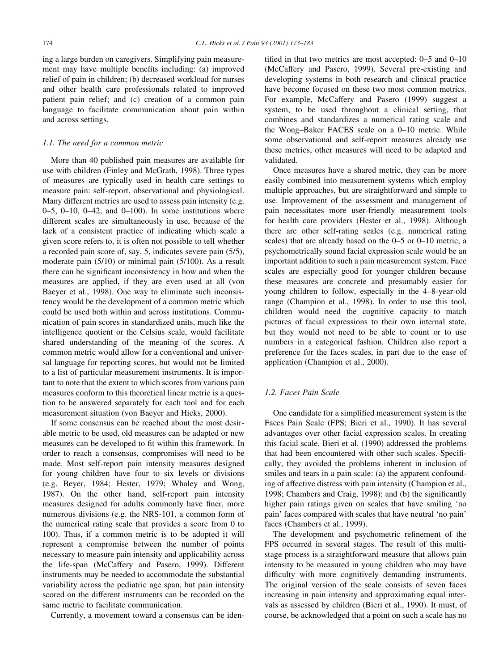ing a large burden on caregivers. Simplifying pain measurement may have multiple benefits including: (a) improved relief of pain in children; (b) decreased workload for nurses and other health care professionals related to improved patient pain relief; and (c) creation of a common pain language to facilitate communication about pain within and across settings.

#### 1.1. The need for a common metric

More than 40 published pain measures are available for use with children (Finley and McGrath, 1998). Three types of measures are typically used in health care settings to measure pain: self-report, observational and physiological. Many different metrics are used to assess pain intensity (e.g. 0 $-5$ , 0 $-10$ , 0 $-42$ , and 0 $-100$ ). In some institutions where different scales are simultaneously in use, because of the lack of a consistent practice of indicating which scale a given score refers to, it is often not possible to tell whether a recorded pain score of, say, 5, indicates severe pain (5/5), moderate pain (5/10) or minimal pain (5/100). As a result there can be significant inconsistency in how and when the measures are applied, if they are even used at all (von Baeyer et al., 1998). One way to eliminate such inconsistency would be the development of a common metric which could be used both within and across institutions. Communication of pain scores in standardized units, much like the intelligence quotient or the Celsius scale, would facilitate shared understanding of the meaning of the scores. A common metric would allow for a conventional and universal language for reporting scores, but would not be limited to a list of particular measurement instruments. It is important to note that the extent to which scores from various pain measures conform to this theoretical linear metric is a question to be answered separately for each tool and for each measurement situation (von Baeyer and Hicks, 2000).

If some consensus can be reached about the most desirable metric to be used, old measures can be adapted or new measures can be developed to fit within this framework. In order to reach a consensus, compromises will need to be made. Most self-report pain intensity measures designed for young children have four to six levels or divisions (e.g. Beyer, 1984; Hester, 1979; Whaley and Wong, 1987). On the other hand, self-report pain intensity measures designed for adults commonly have finer, more numerous divisions (e.g. the NRS-101, a common form of the numerical rating scale that provides a score from 0 to 100). Thus, if a common metric is to be adopted it will represent a compromise between the number of points necessary to measure pain intensity and applicability across the life-span (McCaffery and Pasero, 1999). Different instruments may be needed to accommodate the substantial variability across the pediatric age span, but pain intensity scored on the different instruments can be recorded on the same metric to facilitate communication.

Currently, a movement toward a consensus can be iden-

tified in that two metrics are most accepted:  $0-5$  and  $0-10$ (McCaffery and Pasero, 1999). Several pre-existing and developing systems in both research and clinical practice have become focused on these two most common metrics. For example, McCaffery and Pasero (1999) suggest a system, to be used throughout a clinical setting, that combines and standardizes a numerical rating scale and the Wong-Baker FACES scale on a  $0-10$  metric. While some observational and self-report measures already use these metrics, other measures will need to be adapted and validated.

Once measures have a shared metric, they can be more easily combined into measurement systems which employ multiple approaches, but are straightforward and simple to use. Improvement of the assessment and management of pain necessitates more user-friendly measurement tools for health care providers (Hester et al., 1998). Although there are other self-rating scales (e.g. numerical rating scales) that are already based on the  $0-5$  or  $0-10$  metric, a psychometrically sound facial expression scale would be an important addition to such a pain measurement system. Face scales are especially good for younger children because these measures are concrete and presumably easier for young children to follow, especially in the 4-8-year-old range (Champion et al., 1998). In order to use this tool, children would need the cognitive capacity to match pictures of facial expressions to their own internal state, but they would not need to be able to count or to use numbers in a categorical fashion. Children also report a preference for the faces scales, in part due to the ease of application (Champion et al., 2000).

## 1.2. Faces Pain Scale

One candidate for a simplified measurement system is the Faces Pain Scale (FPS; Bieri et al., 1990). It has several advantages over other facial expression scales. In creating this facial scale, Bieri et al. (1990) addressed the problems that had been encountered with other such scales. Specifically, they avoided the problems inherent in inclusion of smiles and tears in a pain scale: (a) the apparent confounding of affective distress with pain intensity (Champion et al., 1998; Chambers and Craig, 1998); and (b) the significantly higher pain ratings given on scales that have smiling 'no pain' faces compared with scales that have neutral `no pain' faces (Chambers et al., 1999).

The development and psychometric refinement of the FPS occurred in several stages. The result of this multistage process is a straightforward measure that allows pain intensity to be measured in young children who may have difficulty with more cognitively demanding instruments. The original version of the scale consists of seven faces increasing in pain intensity and approximating equal intervals as assessed by children (Bieri et al., 1990). It must, of course, be acknowledged that a point on such a scale has no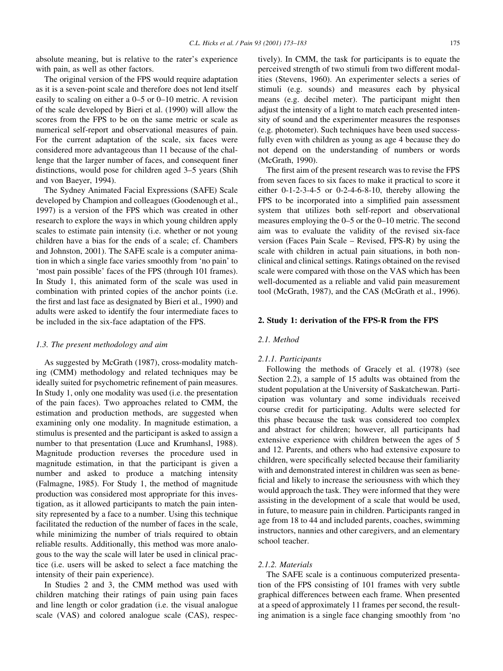absolute meaning, but is relative to the rater's experience with pain, as well as other factors.

The original version of the FPS would require adaptation as it is a seven-point scale and therefore does not lend itself easily to scaling on either a  $0-5$  or  $0-10$  metric. A revision of the scale developed by Bieri et al. (1990) will allow the scores from the FPS to be on the same metric or scale as numerical self-report and observational measures of pain. For the current adaptation of the scale, six faces were considered more advantageous than 11 because of the challenge that the larger number of faces, and consequent finer distinctions, would pose for children aged 3–5 years (Shih and von Baeyer, 1994).

The Sydney Animated Facial Expressions (SAFE) Scale developed by Champion and colleagues (Goodenough et al., 1997) is a version of the FPS which was created in other research to explore the ways in which young children apply scales to estimate pain intensity (i.e. whether or not young children have a bias for the ends of a scale; cf. Chambers and Johnston, 2001). The SAFE scale is a computer animation in which a single face varies smoothly from `no pain' to `most pain possible' faces of the FPS (through 101 frames). In Study 1, this animated form of the scale was used in combination with printed copies of the anchor points (i.e. the first and last face as designated by Bieri et al., 1990) and adults were asked to identify the four intermediate faces to be included in the six-face adaptation of the FPS.

#### 1.3. The present methodology and aim

As suggested by McGrath (1987), cross-modality matching (CMM) methodology and related techniques may be ideally suited for psychometric refinement of pain measures. In Study 1, only one modality was used (i.e. the presentation of the pain faces). Two approaches related to CMM, the estimation and production methods, are suggested when examining only one modality. In magnitude estimation, a stimulus is presented and the participant is asked to assign a number to that presentation (Luce and Krumhansl, 1988). Magnitude production reverses the procedure used in magnitude estimation, in that the participant is given a number and asked to produce a matching intensity (Falmagne, 1985). For Study 1, the method of magnitude production was considered most appropriate for this investigation, as it allowed participants to match the pain intensity represented by a face to a number. Using this technique facilitated the reduction of the number of faces in the scale, while minimizing the number of trials required to obtain reliable results. Additionally, this method was more analogous to the way the scale will later be used in clinical practice (i.e. users will be asked to select a face matching the intensity of their pain experience).

In Studies 2 and 3, the CMM method was used with children matching their ratings of pain using pain faces and line length or color gradation (i.e. the visual analogue scale (VAS) and colored analogue scale (CAS), respectively). In CMM, the task for participants is to equate the perceived strength of two stimuli from two different modalities (Stevens, 1960). An experimenter selects a series of stimuli (e.g. sounds) and measures each by physical means (e.g. decibel meter). The participant might then adjust the intensity of a light to match each presented intensity of sound and the experimenter measures the responses (e.g. photometer). Such techniques have been used successfully even with children as young as age 4 because they do not depend on the understanding of numbers or words (McGrath, 1990).

The first aim of the present research was to revise the FPS from seven faces to six faces to make it practical to score it either  $0-1-2-3-4-5$  or  $0-2-4-6-8-10$ , thereby allowing the FPS to be incorporated into a simplified pain assessment system that utilizes both self-report and observational measures employing the  $0-5$  or the  $0-10$  metric. The second aim was to evaluate the validity of the revised six-face version (Faces Pain Scale  $-$  Revised, FPS-R) by using the scale with children in actual pain situations, in both nonclinical and clinical settings. Ratings obtained on the revised scale were compared with those on the VAS which has been well-documented as a reliable and valid pain measurement tool (McGrath, 1987), and the CAS (McGrath et al., 1996).

## 2. Study 1: derivation of the FPS-R from the FPS

#### 2.1. Method

#### 2.1.1. Participants

Following the methods of Gracely et al. (1978) (see Section 2.2), a sample of 15 adults was obtained from the student population at the University of Saskatchewan. Participation was voluntary and some individuals received course credit for participating. Adults were selected for this phase because the task was considered too complex and abstract for children; however, all participants had extensive experience with children between the ages of 5 and 12. Parents, and others who had extensive exposure to children, were specifically selected because their familiarity with and demonstrated interest in children was seen as bene ficial and likely to increase the seriousness with which they would approach the task. They were informed that they were assisting in the development of a scale that would be used, in future, to measure pain in children. Participants ranged in age from 18 to 44 and included parents, coaches, swimming instructors, nannies and other caregivers, and an elementary school teacher.

## 2.1.2. Materials

The SAFE scale is a continuous computerized presentation of the FPS consisting of 101 frames with very subtle graphical differences between each frame. When presented at a speed of approximately 11 frames per second, the resulting animation is a single face changing smoothly from `no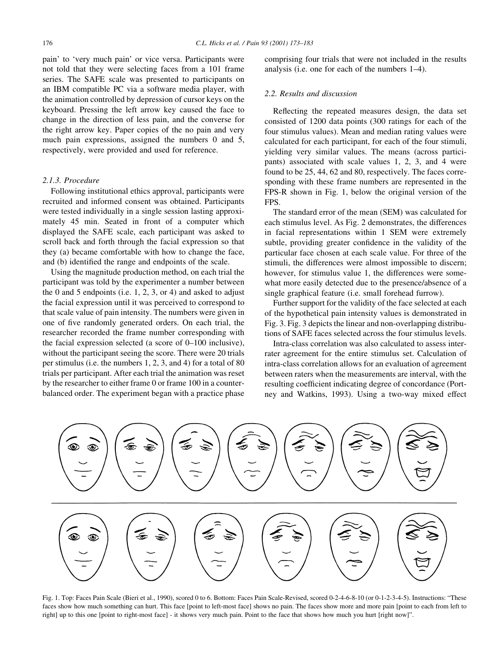pain' to `very much pain' or vice versa. Participants were not told that they were selecting faces from a 101 frame series. The SAFE scale was presented to participants on an IBM compatible PC via a software media player, with the animation controlled by depression of cursor keys on the keyboard. Pressing the left arrow key caused the face to change in the direction of less pain, and the converse for the right arrow key. Paper copies of the no pain and very much pain expressions, assigned the numbers 0 and 5, respectively, were provided and used for reference.

## 2.1.3. Procedure

Following institutional ethics approval, participants were recruited and informed consent was obtained. Participants were tested individually in a single session lasting approximately 45 min. Seated in front of a computer which displayed the SAFE scale, each participant was asked to scroll back and forth through the facial expression so that they (a) became comfortable with how to change the face, and (b) identified the range and endpoints of the scale.

Using the magnitude production method, on each trial the participant was told by the experimenter a number between the 0 and 5 endpoints (i.e.  $1, 2, 3$ , or 4) and asked to adjust the facial expression until it was perceived to correspond to that scale value of pain intensity. The numbers were given in one of five randomly generated orders. On each trial, the researcher recorded the frame number corresponding with the facial expression selected (a score of  $0-100$  inclusive), without the participant seeing the score. There were 20 trials per stimulus (i.e. the numbers 1, 2, 3, and 4) for a total of 80 trials per participant. After each trial the animation was reset by the researcher to either frame 0 or frame 100 in a counterbalanced order. The experiment began with a practice phase comprising four trials that were not included in the results analysis (i.e. one for each of the numbers  $1-4$ ).

#### 2.2. Results and discussion

Reflecting the repeated measures design, the data set consisted of 1200 data points (300 ratings for each of the four stimulus values). Mean and median rating values were calculated for each participant, for each of the four stimuli, yielding very similar values. The means (across participants) associated with scale values 1, 2, 3, and 4 were found to be 25, 44, 62 and 80, respectively. The faces corresponding with these frame numbers are represented in the FPS-R shown in Fig. 1, below the original version of the FPS.

The standard error of the mean (SEM) was calculated for each stimulus level. As Fig. 2 demonstrates, the differences in facial representations within 1 SEM were extremely subtle, providing greater confidence in the validity of the particular face chosen at each scale value. For three of the stimuli, the differences were almost impossible to discern; however, for stimulus value 1, the differences were somewhat more easily detected due to the presence/absence of a single graphical feature (i.e. small forehead furrow).

Further support for the validity of the face selected at each of the hypothetical pain intensity values is demonstrated in Fig. 3. Fig. 3 depicts the linear and non-overlapping distributions of SAFE faces selected across the four stimulus levels.

Intra-class correlation was also calculated to assess interrater agreement for the entire stimulus set. Calculation of intra-class correlation allows for an evaluation of agreement between raters when the measurements are interval, with the resulting coefficient indicating degree of concordance (Portney and Watkins, 1993). Using a two-way mixed effect



Fig. 1. Top: Faces Pain Scale (Bieri et al., 1990), scored 0 to 6. Bottom: Faces Pain Scale-Revised, scored 0-2-4-6-8-10 (or 0-1-2-3-4-5). Instructions: ªThese faces show how much something can hurt. This face [point to left-most face] shows no pain. The faces show more and more pain [point to each from left to right] up to this one [point to right-most face] - it shows very much pain. Point to the face that shows how much you hurt [right now]º.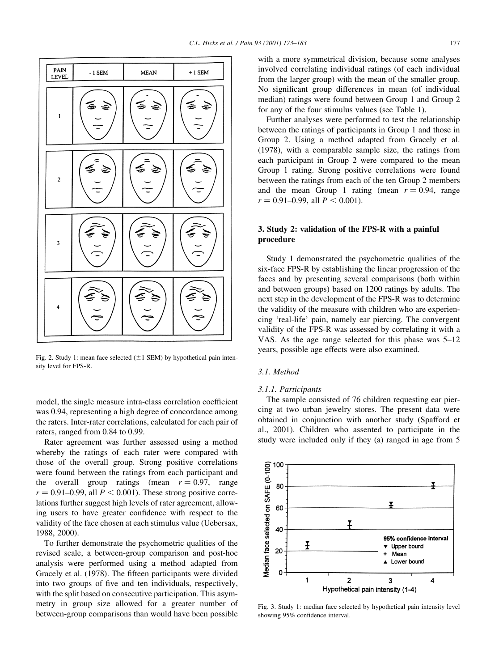

Fig. 2. Study 1: mean face selected  $(\pm 1$  SEM) by hypothetical pain intensity level for FPS-R.

model, the single measure intra-class correlation coefficient was 0.94, representing a high degree of concordance among the raters. Inter-rater correlations, calculated for each pair of raters, ranged from 0.84 to 0.99.

Rater agreement was further assessed using a method whereby the ratings of each rater were compared with those of the overall group. Strong positive correlations were found between the ratings from each participant and the overall group ratings (mean  $r = 0.97$ , range  $r = 0.91-0.99$ , all  $P < 0.001$ ). These strong positive correlations further suggest high levels of rater agreement, allowing users to have greater confidence with respect to the validity of the face chosen at each stimulus value (Uebersax, 1988, 2000).

To further demonstrate the psychometric qualities of the revised scale, a between-group comparison and post-hoc analysis were performed using a method adapted from Gracely et al. (1978). The fifteen participants were divided into two groups of five and ten individuals, respectively, with the split based on consecutive participation. This asymmetry in group size allowed for a greater number of between-group comparisons than would have been possible

with a more symmetrical division, because some analyses involved correlating individual ratings (of each individual from the larger group) with the mean of the smaller group. No significant group differences in mean (of individual median) ratings were found between Group 1 and Group 2 for any of the four stimulus values (see Table 1).

Further analyses were performed to test the relationship between the ratings of participants in Group 1 and those in Group 2. Using a method adapted from Gracely et al. (1978), with a comparable sample size, the ratings from each participant in Group 2 were compared to the mean Group 1 rating. Strong positive correlations were found between the ratings from each of the ten Group 2 members and the mean Group 1 rating (mean  $r = 0.94$ , range  $r = 0.91 - 0.99$ , all  $P < 0.001$ ).

# 3. Study 2: validation of the FPS-R with a painful procedure

Study 1 demonstrated the psychometric qualities of the six-face FPS-R by establishing the linear progression of the faces and by presenting several comparisons (both within and between groups) based on 1200 ratings by adults. The next step in the development of the FPS-R was to determine the validity of the measure with children who are experiencing `real-life' pain, namely ear piercing. The convergent validity of the FPS-R was assessed by correlating it with a VAS. As the age range selected for this phase was  $5-12$ years, possible age effects were also examined.

#### 3.1. Method

#### 3.1.1. Participants

The sample consisted of 76 children requesting ear piercing at two urban jewelry stores. The present data were obtained in conjunction with another study (Spafford et al., 2001). Children who assented to participate in the study were included only if they (a) ranged in age from 5



Fig. 3. Study 1: median face selected by hypothetical pain intensity level showing 95% confidence interval.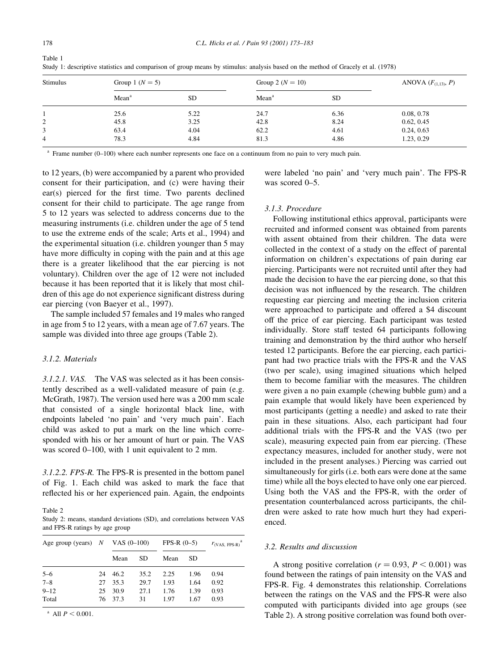| <b>Stimulus</b> | Group 1 $(N = 5)$ |           | Group 2 ( $N = 10$ ) | ANOVA $(F_{(1,13)}, P)$ |            |
|-----------------|-------------------|-----------|----------------------|-------------------------|------------|
|                 | Mean <sup>a</sup> | <b>SD</b> | Mean <sup>a</sup>    | <b>SD</b>               |            |
|                 | 25.6              | 5.22      | 24.7                 | 6.36                    | 0.08, 0.78 |
| 2               | 45.8              | 3.25      | 42.8                 | 8.24                    | 0.62, 0.45 |
|                 | 63.4              | 4.04      | 62.2                 | 4.61                    | 0.24, 0.63 |
| 4               | 78.3              | 4.84      | 81.3                 | 4.86                    | 1.23, 0.29 |

Study 1: descriptive statistics and comparison of group means by stimulus: analysis based on the method of Gracely et al. (1978)

 $^{\circ}$  Frame number (0-100) where each number represents one face on a continuum from no pain to very much pain.

to 12 years, (b) were accompanied by a parent who provided consent for their participation, and (c) were having their  $ear(s)$  pierced for the first time. Two parents declined consent for their child to participate. The age range from 5 to 12 years was selected to address concerns due to the measuring instruments (i.e. children under the age of 5 tend to use the extreme ends of the scale; Arts et al., 1994) and the experimental situation (i.e. children younger than 5 may have more difficulty in coping with the pain and at this age there is a greater likelihood that the ear piercing is not voluntary). Children over the age of 12 were not included because it has been reported that it is likely that most children of this age do not experience significant distress during ear piercing (von Baeyer et al., 1997).

The sample included 57 females and 19 males who ranged in age from 5 to 12 years, with a mean age of 7.67 years. The sample was divided into three age groups (Table 2).

#### 3.1.2. Materials

3.1.2.1. VAS. The VAS was selected as it has been consistently described as a well-validated measure of pain (e.g. McGrath, 1987). The version used here was a 200 mm scale that consisted of a single horizontal black line, with endpoints labeled 'no pain' and 'very much pain'. Each child was asked to put a mark on the line which corresponded with his or her amount of hurt or pain. The VAS was scored  $0-100$ , with 1 unit equivalent to 2 mm.

3.1.2.2. FPS-R. The FPS-R is presented in the bottom panel of Fig. 1. Each child was asked to mark the face that reflected his or her experienced pain. Again, the endpoints

Table 2

Study 2: means, standard deviations (SD), and correlations between VAS and FPS-R ratings by age group

| Age group (years) $N$ |    | VAS $(0-100)$ |      | $FPS-R (0-5)$ |      | a<br>$r_{(VAS, FPS-R)}$ |
|-----------------------|----|---------------|------|---------------|------|-------------------------|
|                       |    | Mean          | SD.  | Mean          | SD.  |                         |
| $5 - 6$               | 24 | 46.2          | 35.2 | 2.25          | 1.96 | 0.94                    |
| $7 - 8$               | 27 | 35.3          | 29.7 | 1.93          | 1.64 | 0.92                    |
| $9 - 12$              | 25 | 30.9          | 27.1 | 1.76          | 1.39 | 0.93                    |
| Total                 | 76 | 37.3          | 31   | 1.97          | 1.67 | 0.93                    |

<sup>a</sup> All  $P < 0.001$ .

were labeled `no pain' and `very much pain'. The FPS-R was scored  $0-5$ .

## 3.1.3. Procedure

Following institutional ethics approval, participants were recruited and informed consent was obtained from parents with assent obtained from their children. The data were collected in the context of a study on the effect of parental information on children's expectations of pain during ear piercing. Participants were not recruited until after they had made the decision to have the ear piercing done, so that this decision was not influenced by the research. The children requesting ear piercing and meeting the inclusion criteria were approached to participate and offered a \$4 discount off the price of ear piercing. Each participant was tested individually. Store staff tested 64 participants following training and demonstration by the third author who herself tested 12 participants. Before the ear piercing, each participant had two practice trials with the FPS-R and the VAS (two per scale), using imagined situations which helped them to become familiar with the measures. The children were given a no pain example (chewing bubble gum) and a pain example that would likely have been experienced by most participants (getting a needle) and asked to rate their pain in these situations. Also, each participant had four additional trials with the FPS-R and the VAS (two per scale), measuring expected pain from ear piercing. (These expectancy measures, included for another study, were not included in the present analyses.) Piercing was carried out simultaneously for girls (i.e. both ears were done at the same time) while all the boys elected to have only one ear pierced. Using both the VAS and the FPS-R, with the order of presentation counterbalanced across participants, the children were asked to rate how much hurt they had experienced.

## 3.2. Results and discussion

A strong positive correlation ( $r = 0.93$ ,  $P < 0.001$ ) was found between the ratings of pain intensity on the VAS and FPS-R. Fig. 4 demonstrates this relationship. Correlations between the ratings on the VAS and the FPS-R were also computed with participants divided into age groups (see Table 2). A strong positive correlation was found both over-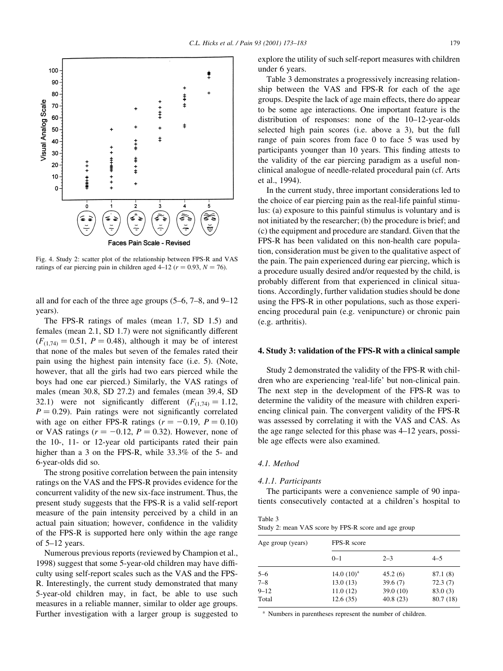

Fig. 4. Study 2: scatter plot of the relationship between FPS-R and VAS ratings of ear piercing pain in children aged 4-12 ( $r = 0.93$ ,  $N = 76$ ).

all and for each of the three age groups  $(5-6, 7-8, \text{ and } 9-12)$ years).

The FPS-R ratings of males (mean 1.7, SD 1.5) and females (mean  $2.1$ , SD  $1.7$ ) were not significantly different  $(F_{(1,74)} = 0.51, P = 0.48)$ , although it may be of interest that none of the males but seven of the females rated their pain using the highest pain intensity face (i.e. 5). (Note, however, that all the girls had two ears pierced while the boys had one ear pierced.) Similarly, the VAS ratings of males (mean 30.8, SD 27.2) and females (mean 39.4, SD 32.1) were not significantly different  $(F_{(1,74)} = 1.12,$  $P = 0.29$ ). Pain ratings were not significantly correlated with age on either FPS-R ratings ( $r = -0.19$ ,  $P = 0.10$ ) or VAS ratings  $(r = -0.12, P = 0.32)$ . However, none of the 10-, 11- or 12-year old participants rated their pain higher than a 3 on the FPS-R, while 33.3% of the 5- and 6-year-olds did so.

The strong positive correlation between the pain intensity ratings on the VAS and the FPS-R provides evidence for the concurrent validity of the new six-face instrument. Thus, the present study suggests that the FPS-R is a valid self-report measure of the pain intensity perceived by a child in an actual pain situation; however, confidence in the validity of the FPS-R is supported here only within the age range of  $5-12$  years.

Numerous previous reports (reviewed by Champion et al., 1998) suggest that some 5-year-old children may have difficulty using self-report scales such as the VAS and the FPS-R. Interestingly, the current study demonstrated that many 5-year-old children may, in fact, be able to use such measures in a reliable manner, similar to older age groups. Further investigation with a larger group is suggested to explore the utility of such self-report measures with children under 6 years.

Table 3 demonstrates a progressively increasing relationship between the VAS and FPS-R for each of the age groups. Despite the lack of age main effects, there do appear to be some age interactions. One important feature is the distribution of responses: none of the  $10-12$ -year-olds selected high pain scores (i.e. above a 3), but the full range of pain scores from face 0 to face 5 was used by participants younger than 10 years. This finding attests to the validity of the ear piercing paradigm as a useful nonclinical analogue of needle-related procedural pain (cf. Arts et al., 1994).

In the current study, three important considerations led to the choice of ear piercing pain as the real-life painful stimulus: (a) exposure to this painful stimulus is voluntary and is not initiated by the researcher; (b) the procedure is brief; and (c) the equipment and procedure are standard. Given that the FPS-R has been validated on this non-health care population, consideration must be given to the qualitative aspect of the pain. The pain experienced during ear piercing, which is a procedure usually desired and/or requested by the child, is probably different from that experienced in clinical situations. Accordingly, further validation studies should be done using the FPS-R in other populations, such as those experiencing procedural pain (e.g. venipuncture) or chronic pain (e.g. arthritis).

#### 4. Study 3: validation of the FPS-R with a clinical sample

Study 2 demonstrated the validity of the FPS-R with children who are experiencing 'real-life' but non-clinical pain. The next step in the development of the FPS-R was to determine the validity of the measure with children experiencing clinical pain. The convergent validity of the FPS-R was assessed by correlating it with the VAS and CAS. As the age range selected for this phase was  $4-12$  years, possible age effects were also examined.

#### 4.1. Method

#### 4.1.1. Participants

The participants were a convenience sample of 90 inpatients consecutively contacted at a children's hospital to

| Table 3 |  |                                                      |
|---------|--|------------------------------------------------------|
|         |  | Study 2: mean VAS score by FPS-R score and age group |

| Age group (years) | FPS-R score   |           |          |  |  |  |
|-------------------|---------------|-----------|----------|--|--|--|
|                   | $0 - 1$       | $2 - 3$   | $4 - 5$  |  |  |  |
| $5 - 6$           | 14.0 $(10)^a$ | 45.2(6)   | 87.1 (8) |  |  |  |
| $7 - 8$           | 13.0(13)      | 39.6(7)   | 72.3(7)  |  |  |  |
| $9 - 12$          | 11.0(12)      | 39.0 (10) | 83.0(3)  |  |  |  |
| Total             | 12.6(35)      | 40.8(23)  | 80.7(18) |  |  |  |

<sup>a</sup> Numbers in parentheses represent the number of children.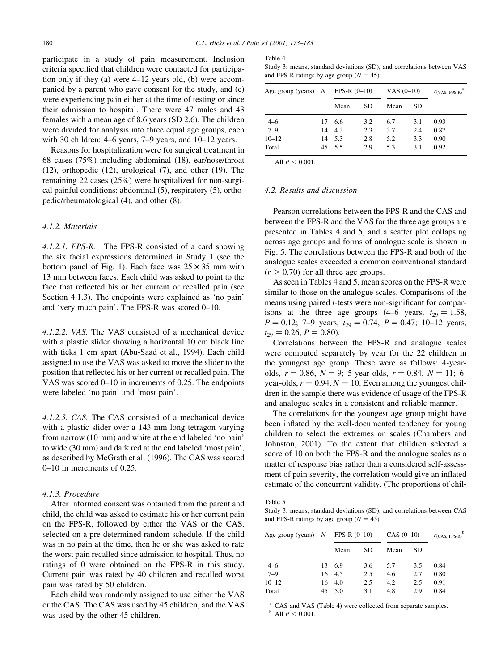participate in a study of pain measurement. Inclusion criteria specified that children were contacted for participation only if they (a) were  $4-12$  years old, (b) were accompanied by a parent who gave consent for the study, and (c) were experiencing pain either at the time of testing or since their admission to hospital. There were 47 males and 43 females with a mean age of 8.6 years (SD 2.6). The children were divided for analysis into three equal age groups, each with 30 children:  $4-6$  years,  $7-9$  years, and  $10-12$  years.

Reasons for hospitalization were for surgical treatment in 68 cases (75%) including abdominal (18), ear/nose/throat (12), orthopedic (12), urological (7), and other (19). The remaining 22 cases (25%) were hospitalized for non-surgical painful conditions: abdominal (5), respiratory (5), orthopedic/rheumatological (4), and other (8).

# 4.1.2. Materials

4.1.2.1. FPS-R. The FPS-R consisted of a card showing the six facial expressions determined in Study 1 (see the bottom panel of Fig. 1). Each face was  $25 \times 35$  mm with 13 mm between faces. Each child was asked to point to the face that reflected his or her current or recalled pain (see Section 4.1.3). The endpoints were explained as 'no pain' and 'very much pain'. The FPS-R was scored  $0-10$ .

4.1.2.2. VAS. The VAS consisted of a mechanical device with a plastic slider showing a horizontal 10 cm black line with ticks 1 cm apart (Abu-Saad et al., 1994). Each child assigned to use the VAS was asked to move the slider to the position that reflected his or her current or recalled pain. The VAS was scored  $0-10$  in increments of 0.25. The endpoints were labeled 'no pain' and 'most pain'.

4.1.2.3. CAS. The CAS consisted of a mechanical device with a plastic slider over a 143 mm long tetragon varying from narrow (10 mm) and white at the end labeled `no pain' to wide (30 mm) and dark red at the end labeled `most pain', as described by McGrath et al. (1996). The CAS was scored  $0-10$  in increments of 0.25.

#### 4.1.3. Procedure

After informed consent was obtained from the parent and child, the child was asked to estimate his or her current pain on the FPS-R, followed by either the VAS or the CAS, selected on a pre-determined random schedule. If the child was in no pain at the time, then he or she was asked to rate the worst pain recalled since admission to hospital. Thus, no ratings of 0 were obtained on the FPS-R in this study. Current pain was rated by 40 children and recalled worst pain was rated by 50 children.

Each child was randomly assigned to use either the VAS or the CAS. The CAS was used by 45 children, and the VAS was used by the other 45 children.

| Table 4                                                                |  |
|------------------------------------------------------------------------|--|
| Study 3: means, standard deviations (SD), and correlations between VAS |  |
| and FPS-R ratings by age group $(N = 45)$                              |  |

| Age group (years) $N$ |    | $FPS-R (0-10)$ |     | VAS $(0-10)$ |     | $r_{\text{(VAS, FPS-R)}}$ |
|-----------------------|----|----------------|-----|--------------|-----|---------------------------|
|                       |    | Mean           | SD  | Mean         | SD  |                           |
| $4 - 6$               | 17 | 6.6            | 3.2 | 6.7          | 3.1 | 0.93                      |
| $7 - 9$               | 14 | 4.3            | 2.3 | 3.7          | 2.4 | 0.87                      |
| $10 - 12$             | 14 | 5.3            | 2.8 | 5.2          | 3.3 | 0.90                      |
| Total                 | 45 | 5.5            | 2.9 | 5.3          | 3.1 | 0.92                      |

<sup>a</sup> All  $P < 0.001$ .

#### 4.2. Results and discussion

Pearson correlations between the FPS-R and the CAS and between the FPS-R and the VAS for the three age groups are presented in Tables 4 and 5, and a scatter plot collapsing across age groups and forms of analogue scale is shown in Fig. 5. The correlations between the FPS-R and both of the analogue scales exceeded a common conventional standard  $(r > 0.70)$  for all three age groups.

As seen in Tables 4 and 5, mean scores on the FPS-R were similar to those on the analogue scales. Comparisons of the means using paired *t*-tests were non-significant for comparisons at the three age groups (4–6 years,  $t_{29} = 1.58$ ,  $P = 0.12$ ; 7-9 years,  $t_{29} = 0.74$ ,  $P = 0.47$ ; 10-12 years,  $t_{29} = 0.26, P = 0.80$ .

Correlations between the FPS-R and analogue scales were computed separately by year for the 22 children in the youngest age group. These were as follows: 4-yearolds,  $r = 0.86$ ,  $N = 9$ ; 5-year-olds,  $r = 0.84$ ,  $N = 11$ ; 6year-olds,  $r = 0.94$ ,  $N = 10$ . Even among the youngest children in the sample there was evidence of usage of the FPS-R and analogue scales in a consistent and reliable manner.

The correlations for the youngest age group might have been inflated by the well-documented tendency for young children to select the extremes on scales (Chambers and Johnston, 2001). To the extent that children selected a score of 10 on both the FPS-R and the analogue scales as a matter of response bias rather than a considered self-assessment of pain severity, the correlation would give an inflated estimate of the concurrent validity. (The proportions of chil-

Table 5

Study 3: means, standard deviations (SD), and correlations between CAS and FPS-R ratings by age group  $(N = 45)^{a}$ 

| Age group (years) $N$ |    | $FPS-R (0-10)$ |     | $CAS (0-10)$ |           | b<br>$r$ <sub>(CAS</sub> , FPS-R) |
|-----------------------|----|----------------|-----|--------------|-----------|-----------------------------------|
|                       |    | Mean           | SD  | Mean         | <b>SD</b> |                                   |
| $4 - 6$               | 13 | 6.9            | 3.6 | 5.7          | 3.5       | 0.84                              |
| $7 - 9$               |    | 16 4.5         | 2.5 | 4.6          | 2.7       | 0.80                              |
| $10 - 12$             | 16 | -4.0           | 2.5 | 4.2          | 2.5       | 0.91                              |
| Total                 | 45 | 5.0            | 3.1 | 4.8          | 2.9       | 0.84                              |

<sup>a</sup> CAS and VAS (Table 4) were collected from separate samples.  $^{\rm b}$  All  $P < 0.001.$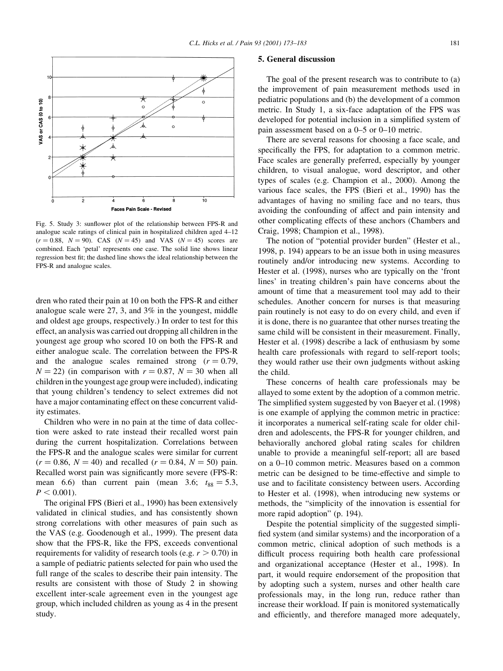

Fig. 5. Study 3: sunflower plot of the relationship between FPS-R and analogue scale ratings of clinical pain in hospitalized children aged 4-12  $(r = 0.88, N = 90)$ . CAS  $(N = 45)$  and VAS  $(N = 45)$  scores are combined. Each 'petal' represents one case. The solid line shows linear regression best fit; the dashed line shows the ideal relationship between the FPS-R and analogue scales.

dren who rated their pain at 10 on both the FPS-R and either analogue scale were 27, 3, and 3% in the youngest, middle and oldest age groups, respectively.) In order to test for this effect, an analysis was carried out dropping all children in the youngest age group who scored 10 on both the FPS-R and either analogue scale. The correlation between the FPS-R and the analogue scales remained strong  $(r = 0.79)$ ,  $N = 22$ ) (in comparison with  $r = 0.87$ ,  $N = 30$  when all children in the youngest age group were included), indicating that young children's tendency to select extremes did not have a major contaminating effect on these concurrent validity estimates.

Children who were in no pain at the time of data collection were asked to rate instead their recalled worst pain during the current hospitalization. Correlations between the FPS-R and the analogue scales were similar for current  $(r = 0.86, N = 40)$  and recalled  $(r = 0.84, N = 50)$  pain. Recalled worst pain was significantly more severe (FPS-R: mean 6.6) than current pain (mean 3.6;  $t_{88} = 5.3$ ,  $P < 0.001$ ).

The original FPS (Bieri et al., 1990) has been extensively validated in clinical studies, and has consistently shown strong correlations with other measures of pain such as the VAS (e.g. Goodenough et al., 1999). The present data show that the FPS-R, like the FPS, exceeds conventional requirements for validity of research tools (e.g.  $r > 0.70$ ) in a sample of pediatric patients selected for pain who used the full range of the scales to describe their pain intensity. The results are consistent with those of Study 2 in showing excellent inter-scale agreement even in the youngest age group, which included children as young as 4 in the present study.

#### 5. General discussion

The goal of the present research was to contribute to (a) the improvement of pain measurement methods used in pediatric populations and (b) the development of a common metric. In Study 1, a six-face adaptation of the FPS was developed for potential inclusion in a simplified system of pain assessment based on a  $0-5$  or  $0-10$  metric.

There are several reasons for choosing a face scale, and specifically the FPS, for adaptation to a common metric. Face scales are generally preferred, especially by younger children, to visual analogue, word descriptor, and other types of scales (e.g. Champion et al., 2000). Among the various face scales, the FPS (Bieri et al., 1990) has the advantages of having no smiling face and no tears, thus avoiding the confounding of affect and pain intensity and other complicating effects of these anchors (Chambers and Craig, 1998; Champion et al., 1998).

The notion of "potential provider burden" (Hester et al., 1998, p. 194) appears to be an issue both in using measures routinely and/or introducing new systems. According to Hester et al. (1998), nurses who are typically on the 'front lines' in treating children's pain have concerns about the amount of time that a measurement tool may add to their schedules. Another concern for nurses is that measuring pain routinely is not easy to do on every child, and even if it is done, there is no guarantee that other nurses treating the same child will be consistent in their measurement. Finally, Hester et al. (1998) describe a lack of enthusiasm by some health care professionals with regard to self-report tools; they would rather use their own judgments without asking the child.

These concerns of health care professionals may be allayed to some extent by the adoption of a common metric. The simplified system suggested by von Baeyer et al. (1998) is one example of applying the common metric in practice: it incorporates a numerical self-rating scale for older children and adolescents, the FPS-R for younger children, and behaviorally anchored global rating scales for children unable to provide a meaningful self-report; all are based on a 0±10 common metric. Measures based on a common metric can be designed to be time-effective and simple to use and to facilitate consistency between users. According to Hester et al. (1998), when introducing new systems or methods, the ªsimplicity of the innovation is essential for more rapid adoption" (p. 194).

Despite the potential simplicity of the suggested simpli fied system (and similar systems) and the incorporation of a common metric, clinical adoption of such methods is a difficult process requiring both health care professional and organizational acceptance (Hester et al., 1998). In part, it would require endorsement of the proposition that by adopting such a system, nurses and other health care professionals may, in the long run, reduce rather than increase their workload. If pain is monitored systematically and efficiently, and therefore managed more adequately,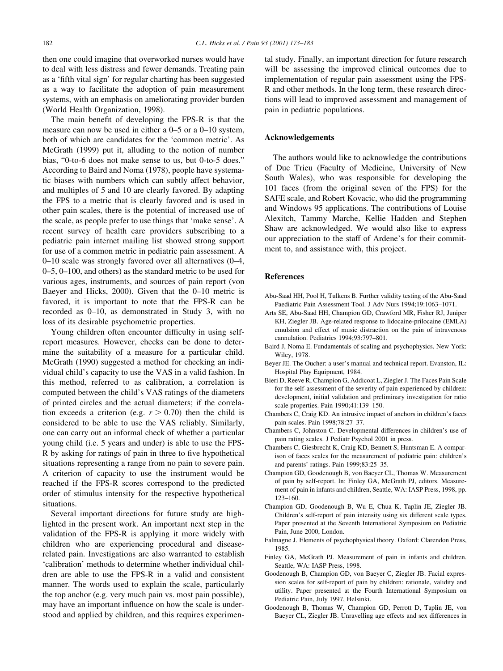then one could imagine that overworked nurses would have to deal with less distress and fewer demands. Treating pain as a 'fifth vital sign' for regular charting has been suggested as a way to facilitate the adoption of pain measurement systems, with an emphasis on ameliorating provider burden (World Health Organization, 1998).

The main benefit of developing the FPS-R is that the measure can now be used in either a  $0-5$  or a  $0-10$  system, both of which are candidates for the `common metric'. As McGrath (1999) put it, alluding to the notion of number bias, "0-to-6 does not make sense to us, but 0-to-5 does." According to Baird and Noma (1978), people have systematic biases with numbers which can subtly affect behavior, and multiples of 5 and 10 are clearly favored. By adapting the FPS to a metric that is clearly favored and is used in other pain scales, there is the potential of increased use of the scale, as people prefer to use things that `make sense'. A recent survey of health care providers subscribing to a pediatric pain internet mailing list showed strong support for use of a common metric in pediatric pain assessment. A  $0-10$  scale was strongly favored over all alternatives  $(0-4, 1)$  $0-5$ ,  $0-100$ , and others) as the standard metric to be used for various ages, instruments, and sources of pain report (von Baeyer and Hicks,  $2000$ . Given that the  $0-10$  metric is favored, it is important to note that the FPS-R can be recorded as  $0-10$ , as demonstrated in Study 3, with no loss of its desirable psychometric properties.

Young children often encounter difficulty in using selfreport measures. However, checks can be done to determine the suitability of a measure for a particular child. McGrath (1990) suggested a method for checking an individual child's capacity to use the VAS in a valid fashion. In this method, referred to as calibration, a correlation is computed between the child's VAS ratings of the diameters of printed circles and the actual diameters; if the correlation exceeds a criterion (e.g.  $r > 0.70$ ) then the child is considered to be able to use the VAS reliably. Similarly, one can carry out an informal check of whether a particular young child (i.e. 5 years and under) is able to use the FPS-R by asking for ratings of pain in three to five hypothetical situations representing a range from no pain to severe pain. A criterion of capacity to use the instrument would be reached if the FPS-R scores correspond to the predicted order of stimulus intensity for the respective hypothetical situations.

Several important directions for future study are highlighted in the present work. An important next step in the validation of the FPS-R is applying it more widely with children who are experiencing procedural and diseaserelated pain. Investigations are also warranted to establish `calibration' methods to determine whether individual children are able to use the FPS-R in a valid and consistent manner. The words used to explain the scale, particularly the top anchor (e.g. very much pain vs. most pain possible), may have an important influence on how the scale is understood and applied by children, and this requires experimental study. Finally, an important direction for future research will be assessing the improved clinical outcomes due to implementation of regular pain assessment using the FPS-R and other methods. In the long term, these research directions will lead to improved assessment and management of pain in pediatric populations.

## Acknowledgements

The authors would like to acknowledge the contributions of Duc Trieu (Faculty of Medicine, University of New South Wales), who was responsible for developing the 101 faces (from the original seven of the FPS) for the SAFE scale, and Robert Kovacic, who did the programming and Windows 95 applications. The contributions of Louise Alexitch, Tammy Marche, Kellie Hadden and Stephen Shaw are acknowledged. We would also like to express our appreciation to the staff of Ardene's for their commitment to, and assistance with, this project.

#### References

- Abu-Saad HH, Pool H, Tulkens B. Further validity testing of the Abu-Saad Paediatric Pain Assessment Tool. J Adv Nurs 1994;19:1063-1071.
- Arts SE, Abu-Saad HH, Champion GD, Crawford MR, Fisher RJ, Juniper KH, Ziegler JB. Age-related response to lidocaine-prilocaine (EMLA) emulsion and effect of music distraction on the pain of intravenous cannulation. Pediatrics 1994;93:797-801.
- Baird J, Noma E. Fundamentals of scaling and psychophysics. New York: Wiley, 1978.
- Beyer JE. The Oucher: a user's manual and technical report. Evanston, IL: Hospital Play Equipment, 1984.
- Bieri D, Reeve R, Champion G, Addicoat L, Ziegler J. The Faces Pain Scale for the self-assessment of the severity of pain experienced by children: development, initial validation and preliminary investigation for ratio scale properties. Pain 1990;41:139-150.
- Chambers C, Craig KD. An intrusive impact of anchors in children's faces pain scales. Pain 1998;78:27-37.
- Chambers C, Johnston C. Developmental differences in children's use of pain rating scales. J Pediatr Psychol 2001 in press.
- Chambers C, Giesbrecht K, Craig KD, Bennett S, Huntsman E. A comparison of faces scales for the measurement of pediatric pain: children's and parents' ratings. Pain 1999;83:25-35.
- Champion GD, Goodenough B, von Baeyer CL, Thomas W. Measurement of pain by self-report. In: Finley GA, McGrath PJ, editors. Measurement of pain in infants and children, Seattle, WA: IASP Press, 1998, pp. 123±160.
- Champion GD, Goodenough B, Wu E, Chua K, Taplin JE, Ziegler JB. Children's self-report of pain intensity using six different scale types. Paper presented at the Seventh International Symposium on Pediatric Pain, June 2000, London.
- Falmagne J. Elements of psychophysical theory. Oxford: Clarendon Press, 1985.
- Finley GA, McGrath PJ. Measurement of pain in infants and children. Seattle, WA: IASP Press, 1998.
- Goodenough B, Champion GD, von Baeyer C, Ziegler JB. Facial expression scales for self-report of pain by children: rationale, validity and utility. Paper presented at the Fourth International Symposium on Pediatric Pain, July 1997, Helsinki.
- Goodenough B, Thomas W, Champion GD, Perrott D, Taplin JE, von Baeyer CL, Ziegler JB. Unravelling age effects and sex differences in